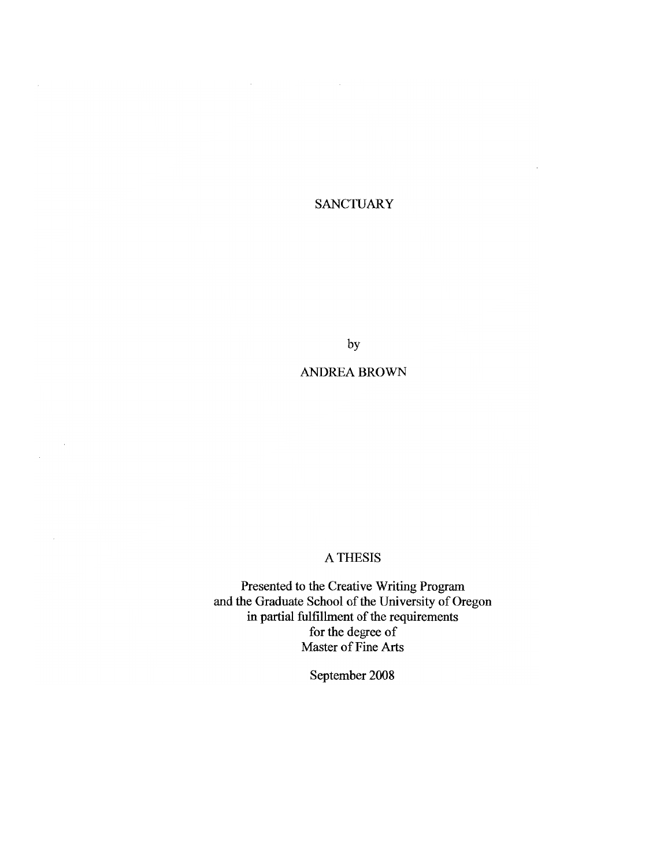# **SANCTUARY**

by

# ANDREA BROWN

 $\sim$ 

# A THESIS

Presented to the Creative Writing Program and the Graduate School of the University of Oregon in partial fulfillment of the requirements for the degree of Master of Fine Arts

September 2008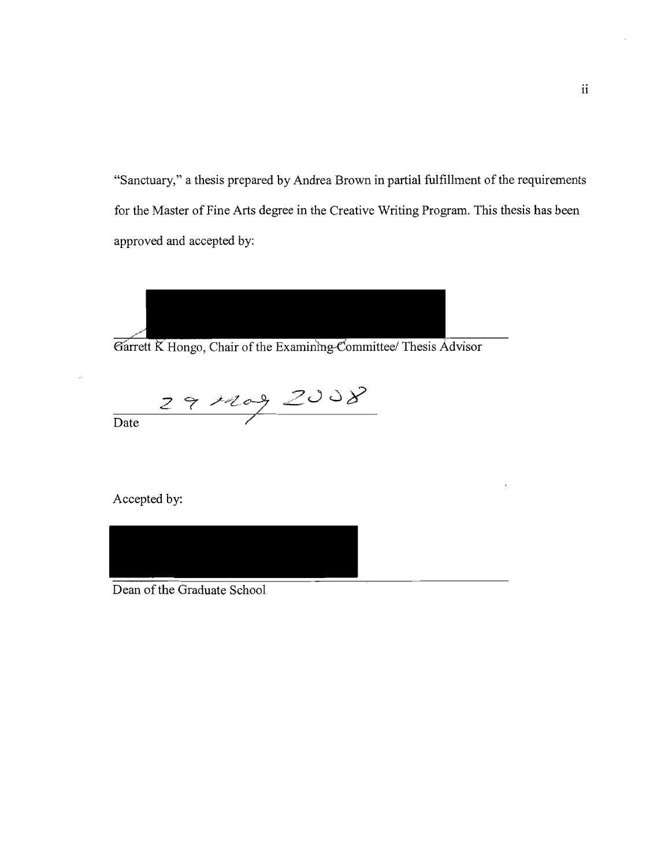"Sanctuary," a thesis prepared by Andrea Brown in partial fulfillment of the requirements for the Master of Fine Arts degree in the Creative Writing Program. This thesis has been approved and accepted by:



Garrett K Hongo, Chair of the Examining Committee/ Thesis Advisor

 $rac{29\mu\text{e}^{9}}{2008}$ 

Accepted by:



Dean of the Graduate School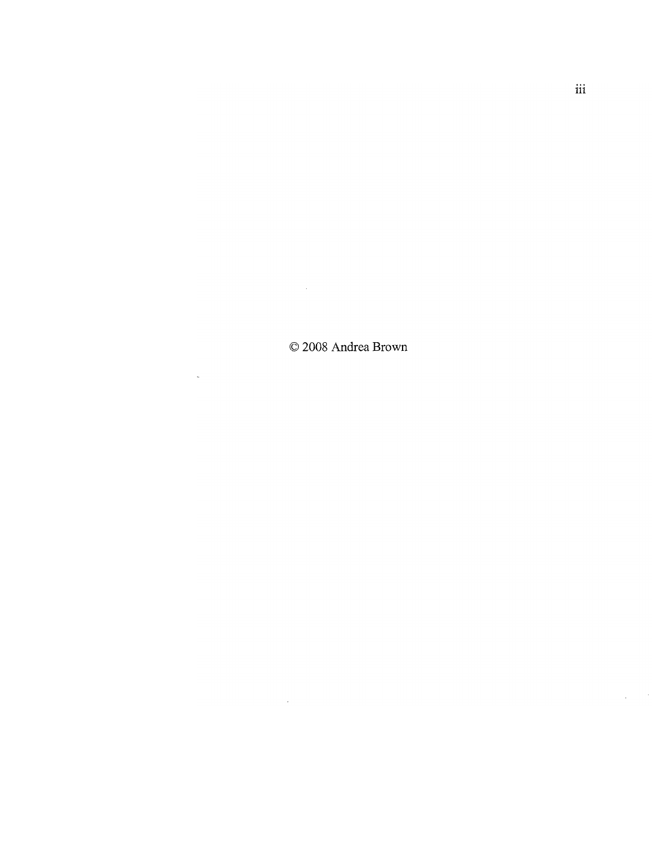© 2008 Andrea Brown

 $\label{eq:2.1} \frac{1}{\sqrt{2}}\int_{\mathbb{R}^3}\frac{1}{\sqrt{2}}\left(\frac{1}{\sqrt{2}}\right)^2\frac{1}{\sqrt{2}}\left(\frac{1}{\sqrt{2}}\right)^2\frac{1}{\sqrt{2}}\left(\frac{1}{\sqrt{2}}\right)^2.$ 

 $\label{eq:2.1} \frac{1}{\sqrt{2}}\int_{\mathbb{R}^3} \frac{d\mu}{\sqrt{2}} \, \frac{d\mu}{\sqrt{2}} \, \frac{d\mu}{\sqrt{2}} \, \frac{d\mu}{\sqrt{2}} \, \frac{d\mu}{\sqrt{2}} \, \frac{d\mu}{\sqrt{2}} \, \frac{d\mu}{\sqrt{2}} \, \frac{d\mu}{\sqrt{2}} \, \frac{d\mu}{\sqrt{2}} \, \frac{d\mu}{\sqrt{2}} \, \frac{d\mu}{\sqrt{2}} \, \frac{d\mu}{\sqrt{2}} \, \frac{d\mu}{\sqrt{2}} \, \frac{d\mu}{$ 

 $\sim 10$ 

 $\frac{1}{2} \frac{1}{2} \frac{1}{2} \frac{1}{2} \frac{1}{2}$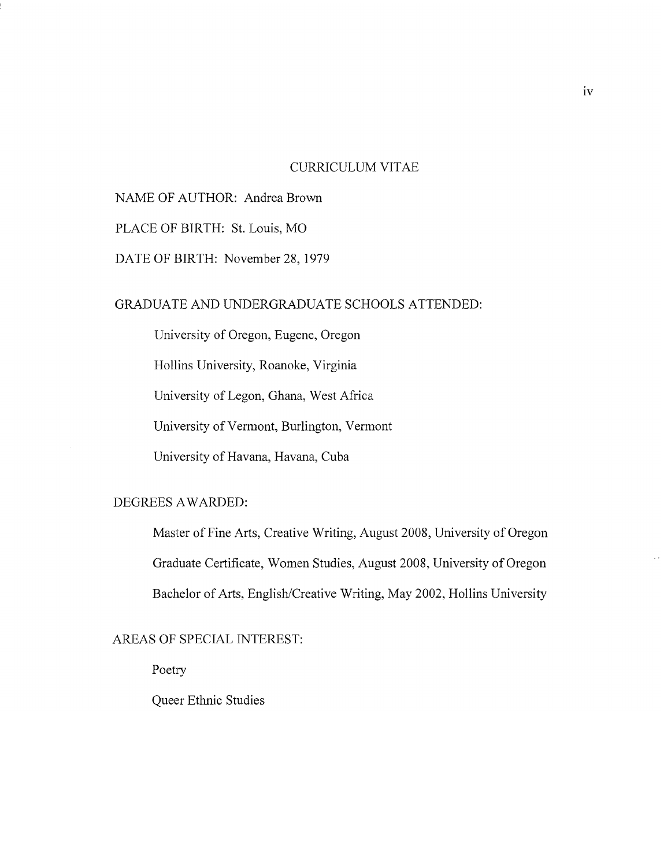### CURRICULUM VITAE

# NAME OF AUTHOR: Andrea Brown

PLACE OF BIRTH: St. Louis, MO

DATE OF BIRTH: November 28,1979

## GRADUATE AND UNDERGRADUATE SCHOOLS ATTENDED:

University of Oregon, Eugene, Oregon

Hollins University, Roanoke, Virginia

University of Legon, Ghana, West Africa

University of Vermont, Burlington, Vermont

University of Havana, Havana, Cuba

## DEGREES AWARDED:

Master of Fine Arts, Creative Writing, August 2008, University of Oregon Graduate Certificate, Women Studies, August 2008, University of Oregon Bachelor of Arts, English/Creative Writing, May 2002, Hollins University

## AREAS OF SPECIAL INTEREST:

Poetry

Queer Ethnic Studies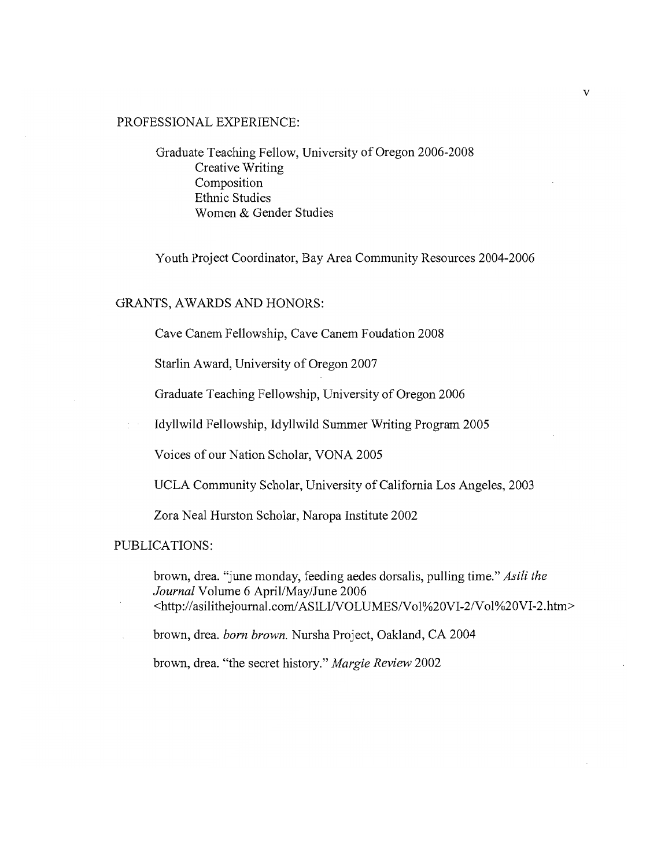## PROFESSIONAL EXPERIENCE:

Graduate Teaching Fellow, University of Oregon 2006-2008 Creative Writing Composition Ethnic Studies Women & Gender Studies

Youth Project Coordinator, Bay Area Community Resources 2004-2006

### GRANTS, AWARDS AND HONORS:

Cave Canem Fellowship, Cave Canem Foudation 2008

Starlin Award, University of Oregon 2007

Graduate Teaching Fellowship, University of Oregon 2006

Idyllwild Fellowship, Idyllwild Summer Writing Program 2005

Voices of our Nation Scholar, VONA 2005

UCLA Community Scholar, University of California Los Angeles, 2003

Zora Neal Hurston Scholar, Naropa Institute 2002

PUBLICATIONS:

brown, drea. "june monday, feeding aedes dorsalis, pulling time." *Asili the Journal* Volume 6 April/May/June 2006 <http://asilithejournal.com/ASILI/VOLUMES/Vol%20VI-2/Vol%20VI-2.htm>

brown, drea. *born brown.* Nursha Project, Oakland, CA 2004

brown, drea. "the secret history." *Margie Review 2002*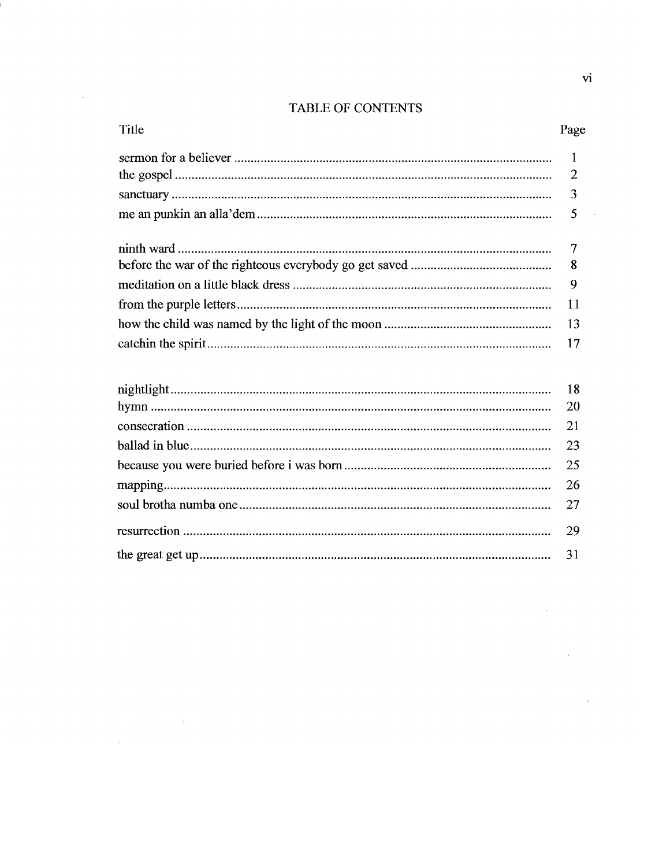# TABLE OF CONTENTS

i.

 $\mathcal{A}^{\mathcal{A}}$ 

 $\mathcal{L}^{\text{max}}_{\text{max}}$  and  $\mathcal{L}^{\text{max}}_{\text{max}}$ 

 $\sim 10^{-10}$ 

| Title | Page |
|-------|------|
|       |      |
|       |      |
|       |      |
|       |      |
|       |      |
|       |      |
|       |      |
|       |      |
|       |      |
|       |      |
|       |      |

 $\sim$   $\sim$ 

 $\hat{\mathcal{L}}$ 

J,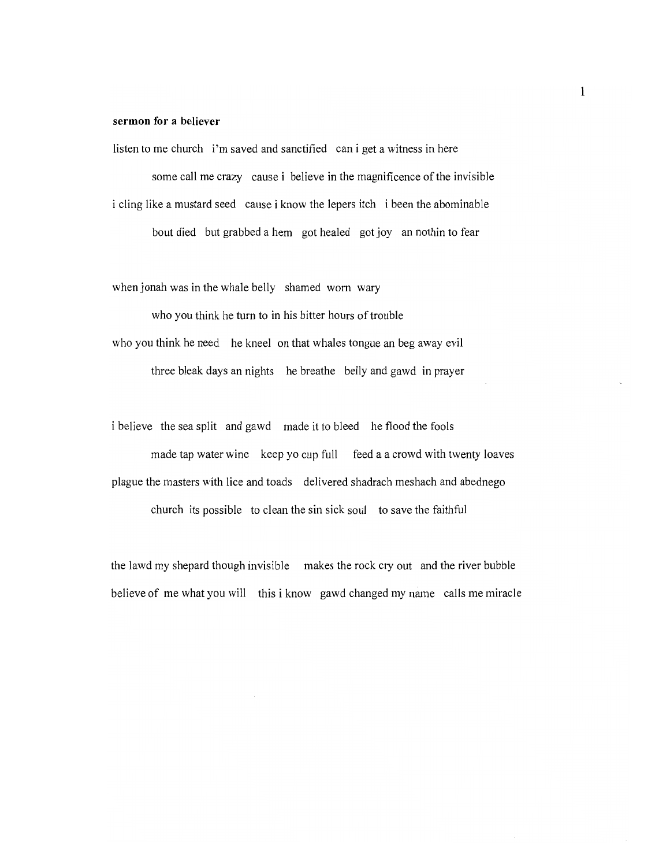## **sermon for a believer**

listen to me church i'm saved and sanctified can i get a witness in here some call me crazy cause i believe in the magnificence of the invisible i cling like a mustard seed cause i know the lepers itch i been the abominable bout died but grabbed a hem got healed got joy an nothin to fear

when jonah was in the whale belly shamed worn wary

who you think he turn to in his bitter hours of trouble who you think he need he kneel on that whales tongue an beg away evil three bleak days an nights he breathe belly and gawd in prayer

i believe the sea split and gawd made it to bleed he flood the fools made tap water wine keep yo cup full feed a a crowd with twenty loaves plague the masters with lice and toads delivered shadrach meshach and abednego church its possible to clean the sin sick soul to save the faithful

the lawd my shepard though invisible makes the rock cry out and the river bubble believe of me what you will this i know gawd changed my name calls me miracle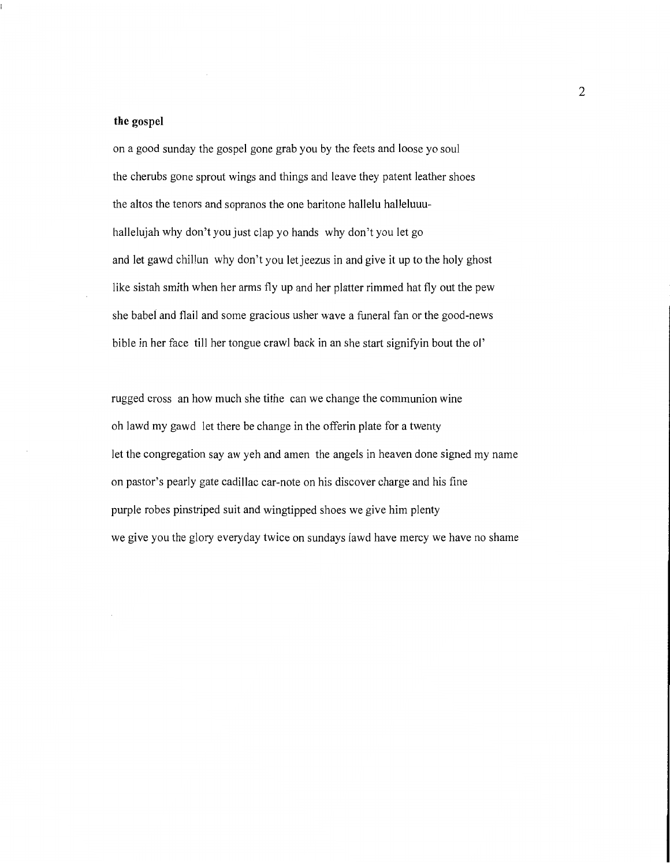#### **the** gospel

on a good sunday the gospel gone grab you by the feets and loose yo soul the cherubs gone sprout wings and things and leave they patent leather shoes the altos the tenors and sopranos the one baritone hallelu halleluuuhallelujah why don't you just clap yo hands why don't you let go and let gawd chillun why don't you let jeezus in and give it up to the holy ghost like sistah smith when her arms fly up and her platter rimmed hat fly out the pew she babel and flail and some gracious usher wave a funeral fan or the good-news bible in her face till her tongue crawl back in an she start signifyin bout the ol'

rugged cross an how much she tithe can we change the communion wine oh lawd my gawd let there be change in the offerin plate for a twenty let the congregation say aw yeh and amen the angels in heaven done signed my name on pastor's pearly gate cadillac car-note on his discover charge and his fine purple robes pinstriped suit and wingtipped shoes we give him plenty we give you the glory everyday twice on sundays lawd have mercy we have no shame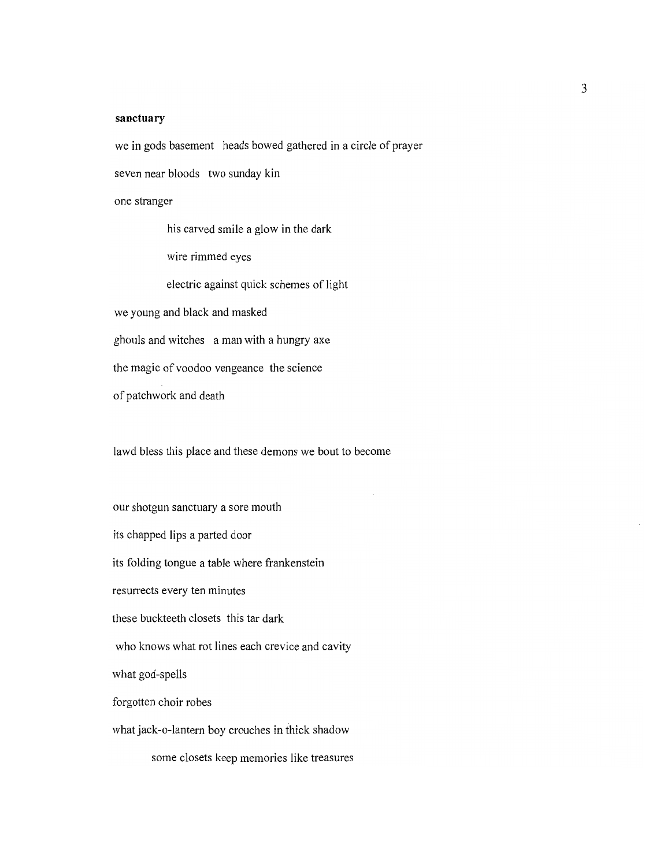#### **sanctuary**

we in gods basement heads bowed gathered in a circle of prayer

seven near bloods two sunday kin

one stranger

his carved smile a glow in the dark

wire rimmed eyes

electric against quick schemes of light

we young and black and masked

ghouls and witches a man with a hungry axe

the magic of voodoo vengeance the science

of patchwork and death

lawd bless this place and these demons we bout to become

our shotgun sanctuary a sore mouth its chapped lips a parted door its folding tongue a table where frankenstein resurrects every ten minutes these buckteeth closets this tar dark who knows what rot lines each crevice and cavity what god-spells forgotten choir robes what jack-o-lantern boy crouches in thick shadow

some closets keep memories like treasures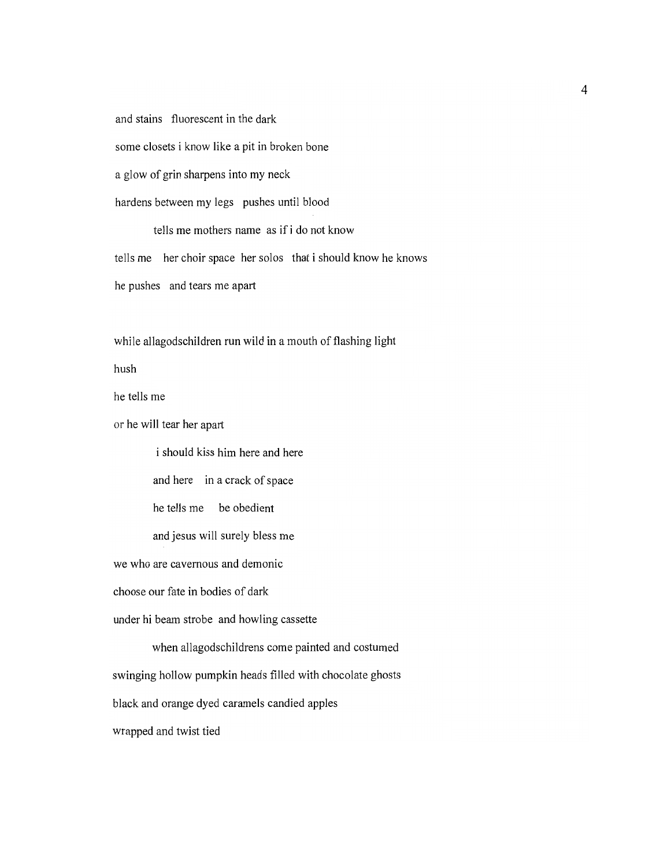and stains fluorescent in the dark some closets i know like a pit in broken bone a glow of grin sharpens into my neck

hardens between my legs pushes until blood

tells me mothers name as if i do not know tells me her choir space her solos that i should know he knows he pushes and tears me apart

while allagodschildren run wild in a mouth of flashing light

hush

he tells me

or he will tear her apart

i should kiss him here and here and here in a crack of space he tells me be obedient and jesus will surely bless me we who are cavernous and demonic choose our fate in bodies of dark under hi beam strobe and howling cassette when allagodschildrens come painted and costumed swinging hollow pumpkin heads filled with chocolate ghosts black and orange dyed caramels candied apples

wrapped and twist tied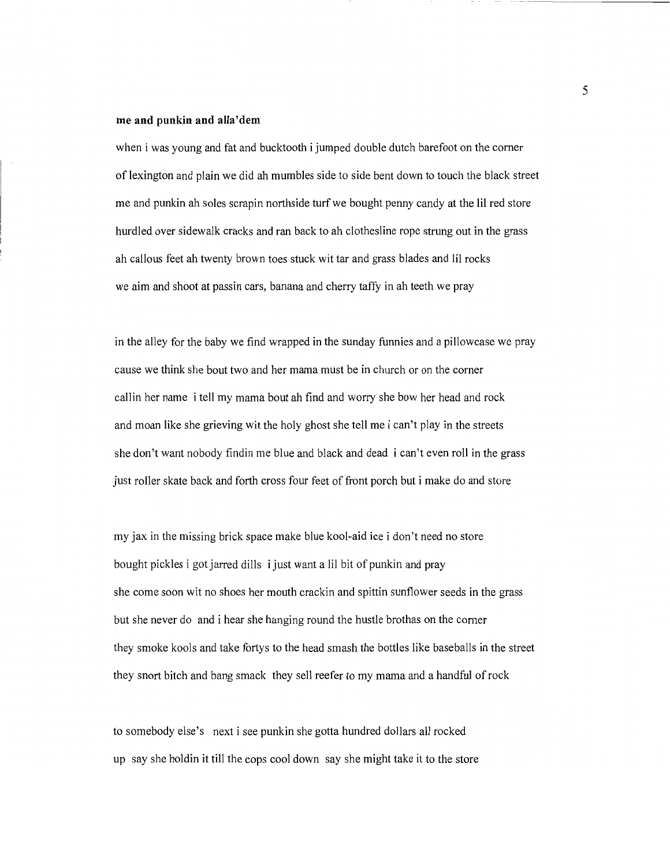#### me and punkin and alla'dem

when i was young and fat and bucktooth i jumped double dutch barefoot on the corner of lexington and plain we did ah mumbles side to side bent down to touch the black street me and punkin ah soles scrapin northside turf we bought penny candy at the IiI red store hurdled over sidewalk cracks and ran back to ah clothesline rope strung out in the grass ah callous feet ah twenty brown toes stuck wit tar and grass blades and Iii rocks we aim and shoot at passin cars, banana and cherry taffy in ah teeth we pray

in the alley for the baby we find wrapped in the sunday funnies and a pillowcase we pray cause we think she bout two and her mama must be in church or on the corner callin her name i tell my mama bout ah find and worry she bow her head and rock and moan like she grieving wit the holy ghost she tell me i can't play in the streets she don't want nobody findin me blue and black and dead i can't even roll in the grass just roller skate back and forth cross four feet of front porch but i make do and store

my jax in the missing brick space make blue kool-aid ice i don't need no store bought pickles i got jarred dills i just want a iiI bit of punkin and pray she come soon wit no shoes her mouth crackin and spittin sunflower seeds in the grass but she never do and i hear she hanging round the hustle brothas on the corner they smoke kools and take fortys to the head smash the bottles like baseballs in the street they snort bitch and bang smack they sell reefer to my mama and a handful ofrock

to somebody else's next i see punkin she gotta hundred dollars all rocked up say she holdin it till the cops cool down say she might take it to the store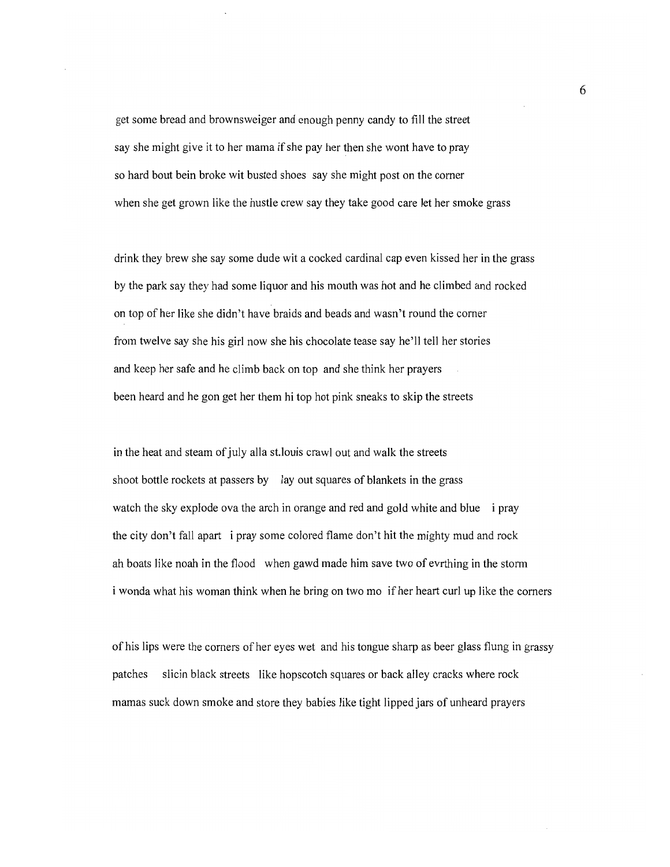get some bread and brownsweiger and enough penny candy to fill the street say she might give it to her mama if she pay her then she wont have to pray so hard bout bein broke wit busted shoes say she might post on the comer when she get grown like the hustle crew say they take good care let her smoke grass

drink they brew she say some dude wit a cocked cardinal cap even kissed her in the grass by the park say they had some liquor and his mouth was hot and he climbed and rocked on top of her like she didn't have braids and beads and wasn't round the corner from twelve say she his girl now she his chocolate tease say he'll tell her stories and keep her safe and he climb back on top and she think her prayers been heard and he gon get her them hi top hot pink sneaks to skip the streets

in the heat and steam of july alla st.louis crawl out and walk the streets shoot bottle rockets at passers by lay out squares of blankets in the grass watch the sky explode ova the arch in orange and red and gold white and blue i pray the city don't fall apart i pray some colored flame don't hit the mighty mud and rock ah boats like noah in the flood when gawd made him save two of evrthing in the storm i wonda what his woman think when he bring on two mo if her heart curl up like the corners

of his lips were the comers of her eyes wet and his tongue sharp as beer glass flung in grassy patches slicin black streets like hopscotch squares or back alley cracks where rock mamas suck down smoke and store they babies like tight lipped jars of unheard prayers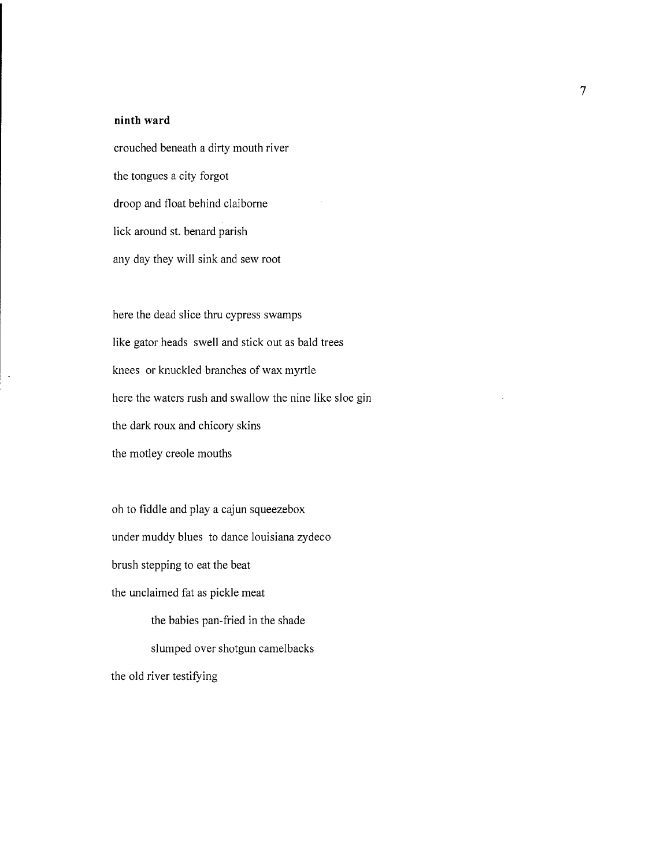#### **ninth ward**

 $\bar{\phantom{a}}$ 

crouched beneath a dirty mouth river the tongues a city forgot droop and float behind claiborne lick around st. benard parish any day they will sink and sew root

here the dead slice thru cypress swamps like gator heads swell and stick out as bald trees knees or knuckled branches of wax myrtle here the waters rush and swallow the nine like sloe gin the dark roux and chicory skins the motley creole mouths

oh to fiddle and playa cajun squeezebox under muddy blues to dance louisiana zydeco brush stepping to eat the beat the unclaimed fat as pickle meat the babies pan-fried in the shade slumped over shotgun camelbacks the old river testifying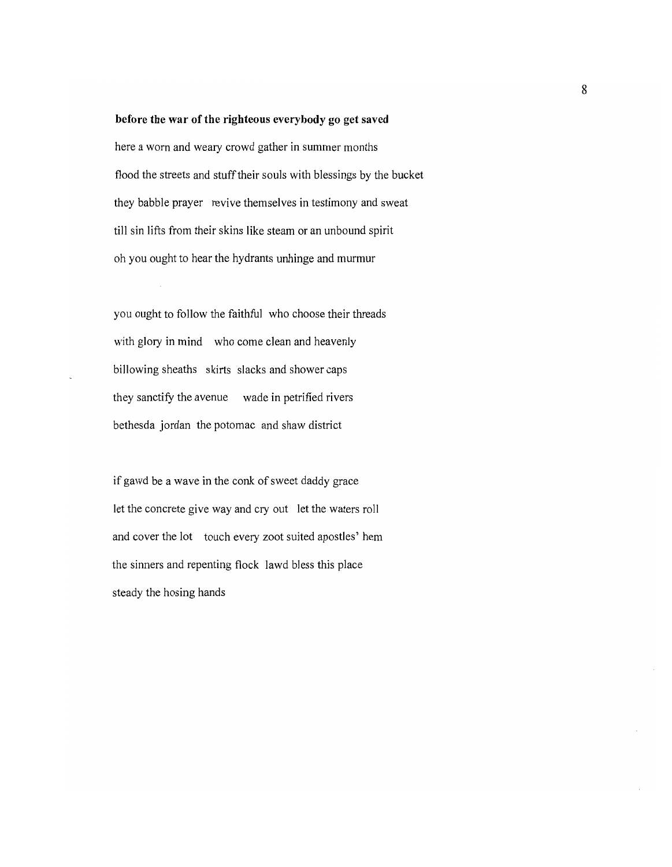#### before the war of the righteous everybody go get saved

here a worn and weary crowd gather in summer months flood the streets and stuff their souls with blessings by the bucket they babble prayer revive themselves in testimony and sweat till sin lifts from their skins like steam or an unbound spirit oh you ought to hear the hydrants unhinge and murmur

you ought to follow the faithful who choose their threads with glory in mind who come clean and heavenly billowing sheaths skirts slacks and shower caps they sanctify the avenue wade in petrified rivers bethesda jordan the potomac and shaw district

if gawd be a wave in the conk of sweet daddy grace let the concrete give way and cry out let the waters roll and cover the lot touch every zoot suited apostles' hem the sinners and repenting flock lawd bless this place steady the hosing hands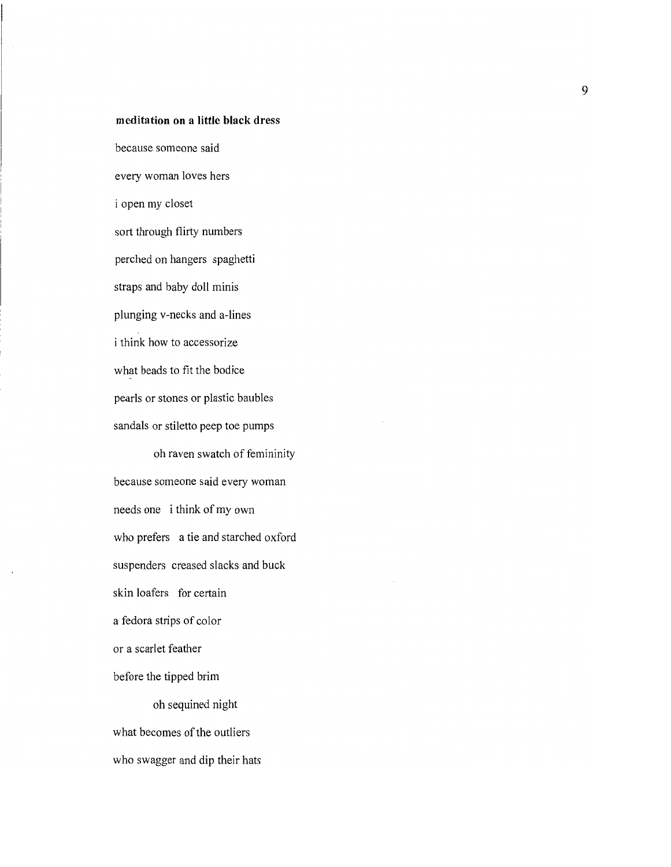## **meditation on a little black dress**

because someone said every woman loves hers i open my closet sort through flirty numbers perched on hangers spaghetti straps and baby doll minis plunging v-necks and a-lines i think how to accessorize what beads to fit the bodice pearls or stones or plastic baubles sandals or stiletto peep toe pumps

oh raven swatch of femininity because someone said every woman needs one i think of my own who prefers a tie and starched oxford suspenders creased slacks and buck skin loafers for certain a fedora strips of color or a scarlet feather before the tipped brim oh sequined night what becomes of the outliers

who swagger and dip their hats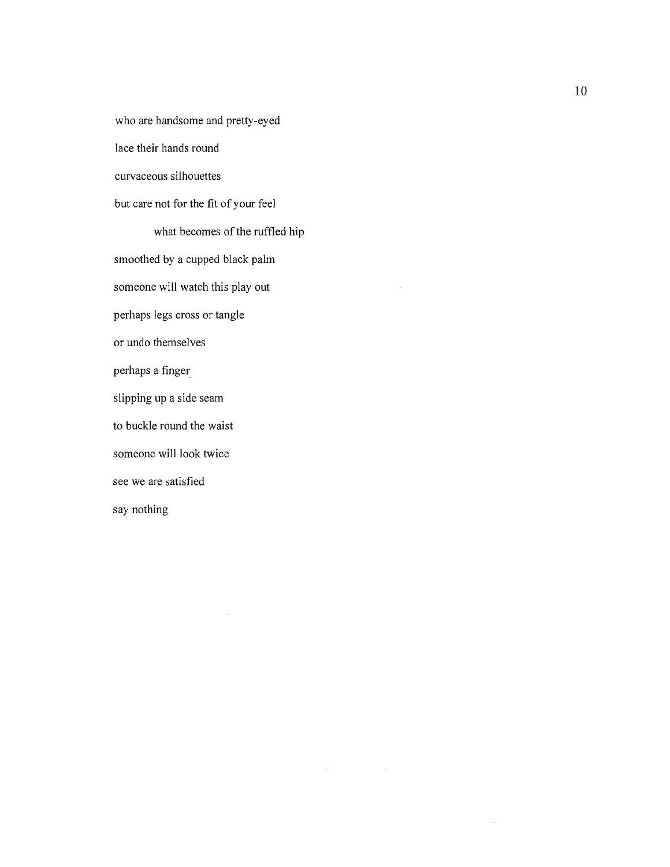who are handsome and pretty-eyed lace their hands round curvaceous silhouettes but care not for the fit of your feel what becomes of the ruffled hip smoothed by a cupped black palm someone will watch this play out perhaps legs cross or tangle or undo themselves perhaps a finger\_ slipping up a side seam to buckle round the waist someone will look twice see we are satisfied say nothing

 $\bar{\alpha}$ 

 $\mathcal{A}^{\text{max}}_{\text{max}}$  and  $\mathcal{A}^{\text{max}}_{\text{max}}$ 

 $\sim$ 

 $\mathcal{L}$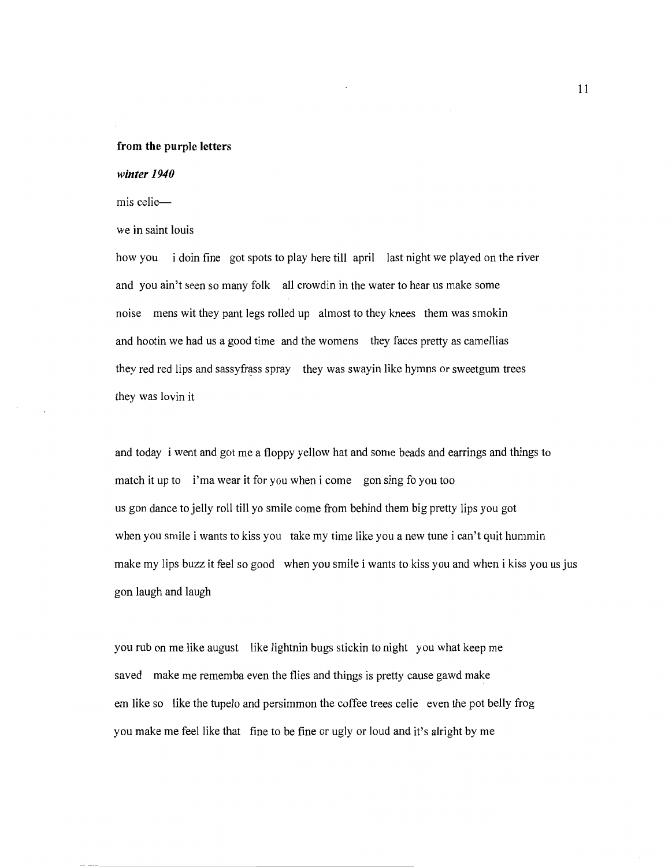#### **from the purple letters**

#### *winter 1940*

mis celie-

we in saint louis

how you i doin fine got spots to play here till april last night we played on the river and you ain't seen so many folk all crowdin in the water to hear us make some noise mens wit they pant legs rolled up almost to they knees them was smokin and hootin we had us a good time and the womens they faces pretty as camellias they red red lips and sassyfrass spray they was swayin like hymns or sweetgum trees they was lovin it

and today i went and got me a floppy yellow hat and some beads and earrings and things to match it up to i'ma wear it for you when i come gon sing fo you too us gon dance to jelly roll till yo smile come from behind them big pretty lips you got when you smile i wants to kiss you take my time like you a new tune i can't quit hummin make my lips buzz it feel so good when you smile i wants to kiss you and when i kiss you us jus gon laugh and laugh

you rub on me like august like lightnin bugs stickin to night you what keep me saved make me rememba even the flies and things is pretty cause gawd make em like so like the tupelo and persimmon the coffee trees celie even the pot belly frog you make me feel like that fine to be fine or ugly or loud and it's alright by me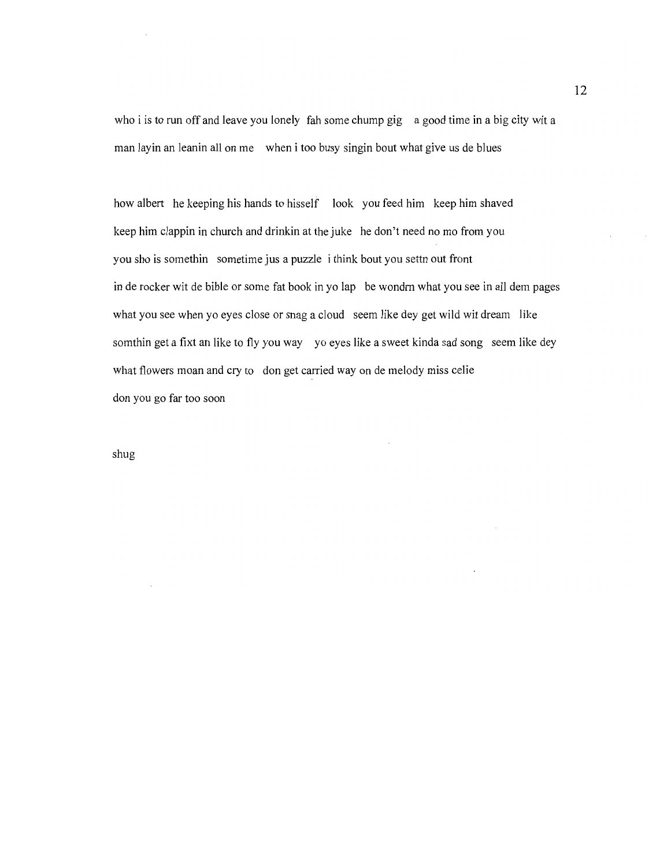who i is to run off and leave you lonely fah some chump gig a good time in a big city wit a man layin an leanin all on me when i too busy singin bout what give us de blues

how albert he keeping his hands to hisself look you feed him keep him shaved keep him clappin in church and drinkin at the juke he don't need no mo from you you sho is somethin sometime jus a puzzle i think bout you settn out front in de rocker wit de bible or some fat book in yo lap be wondm what you see in all dem pages what you see when yo eyes close or snag a cloud seem like dey get wild wit dream like somthin get a fixt an like to fly you way yo eyes like a sweet kinda sad song seem like dey what flowers moan and cry to don get carried way on de melody miss celie don you go far too soon

shug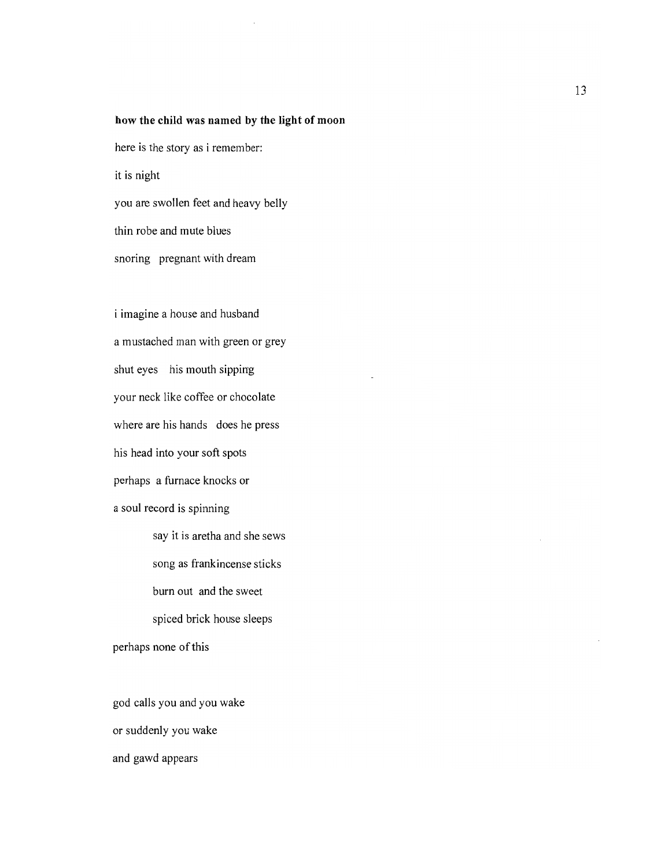#### **how the child was named by the light of moon**

here is the story as i remember:

it is night

you are swollen feet and heavy belly

thin robe and mute blues

snoring pregnant with dream

i imagine a house and husband a mustached man with green or grey shut eyes his mouth sipping your neck like coffee or chocolate where are his hands does he press his head into your soft spots perhaps a furnace knocks or a soul record is spinning

say it is aretha and she sews song as frankincense sticks burn out and the sweet spiced brick house sleeps perhaps none of this

god calls you and you wake or suddenly you wake and gawd appears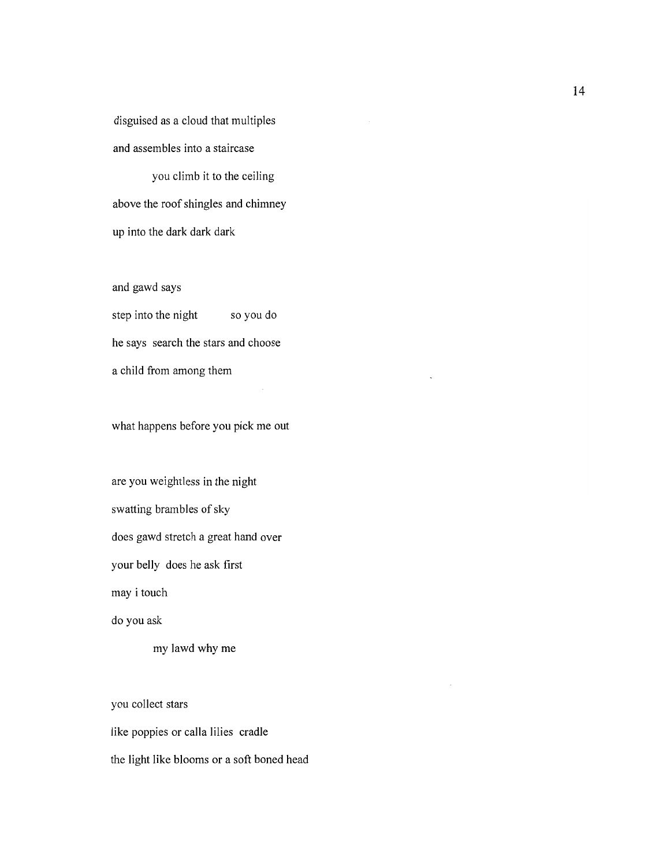disguised as a cloud that multiples and assembles into a staircase

you climb it to the ceiling above the roof shingles and chimney up into the dark dark dark

and gawd says

step into the night so you do he says search the stars and choose a child from among them

what happens before you pick me out

are you weightless in the night swatting brambles of sky does gawd stretch a great hand over your belly does he ask first may i touch

do you ask

my lawd why me

you collect stars like poppies or calla lilies cradle the light like blooms or a soft boned head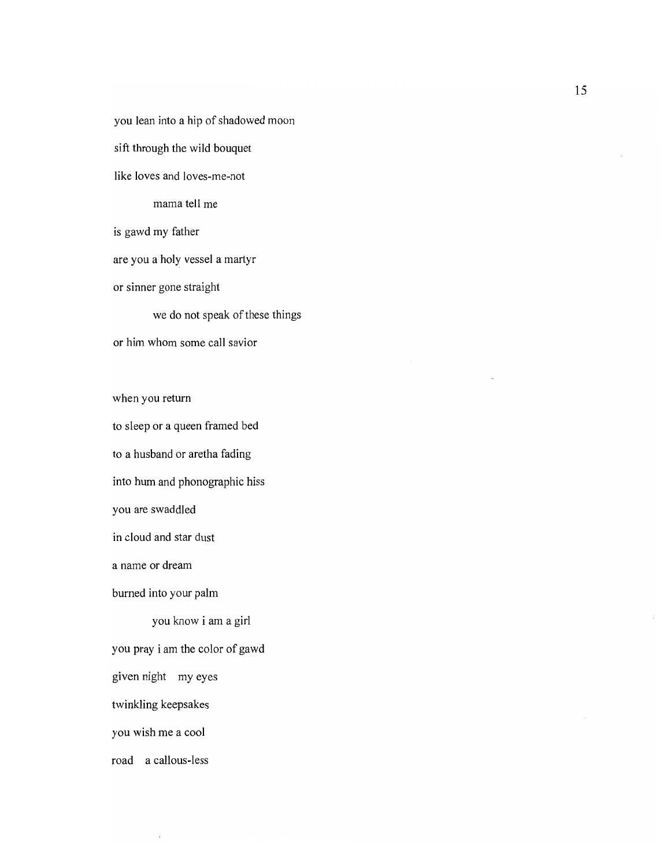you lean into a hip of shadowed moon sift through the wild bouquet like loves and loves-me-not mama tell me is gawd my father are you a holy vessel a martyr or sinner gone straight we do not speak of these things or him whom some call savior when you return

to sleep or a queen framed bed to a husband or aretha fading into hum and phonographic hiss you are swaddled in cloud and star dust a name or dream burned into your palm you know i am a girl you pray i am the color of gawd given night my eyes twinkling keepsakes you wish me a cool

road a callous-less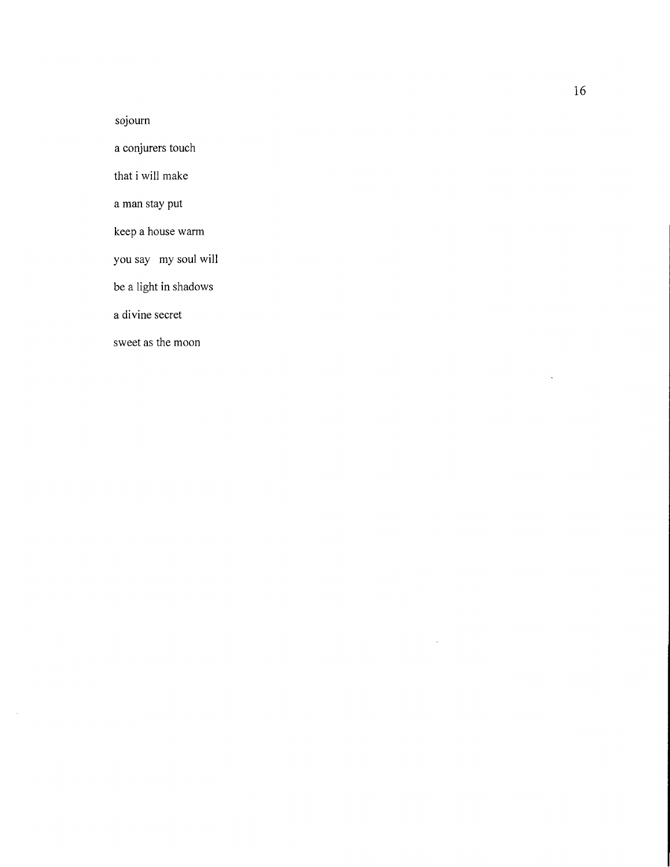sojourn

a conjurers touch

that i will make

a man stay put

keep a house warm

you say my soul will

be a light in shadows

a divine secret

sweet as the moon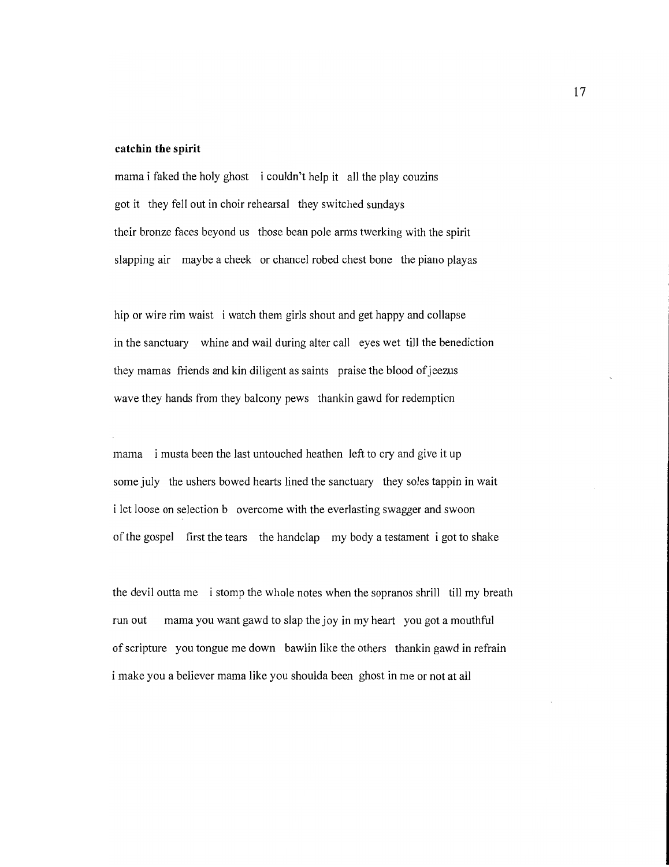#### **catchin the spirit**

mama i faked the holy ghost i couldn't help **it** all the play couzins got it they fell out in choir rehearsal they switched sundays their bronze faces beyond us those bean pole arms twerking with the spirit slapping air maybe a cheek or chancel robed chest bone the piano playas

hip or wire rim waist i watch them girls shout and get happy and collapse in the sanctuary whine and wail during alter call eyes wet till the benediction they mamas friends and kin diligent as saints praise the blood of jeezus wave they hands from they balcony pews thankin gawd for redemption

mama i musta been the last untouched heathen left to cry and give it up some july the ushers bowed hearts lined the sanctuary they soles tappin in wait i let loose on selection b overcome with the everlasting swagger and swoon ofthe gospel first the tears the handclap my body a testament i got to shake

the devil outta me i stomp the whole notes when the sopranos shrill till my breath run out mama you want gawd to slap the joy in my heart you got a mouthful ofscripture you tongue me down bawlin like the others thankin gawd in refrain i make you a believer mama like you shoulda been ghost in me or not at all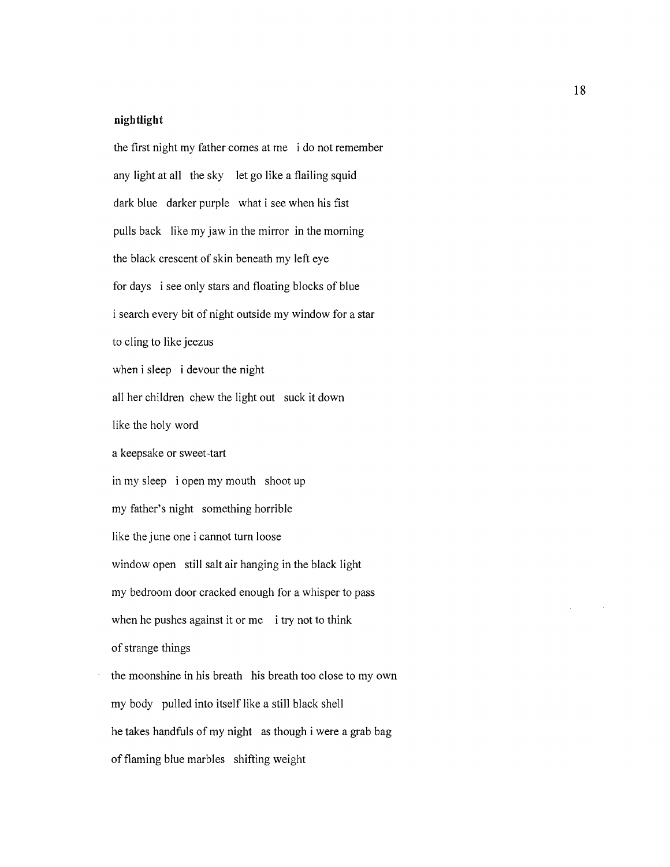### **nightlight**

the first night my father comes at me i do not remember any light at all the sky let go like a flailing squid dark blue darker purple what i see when his fist pulls back like my jaw in the mirror in the morning the black crescent of skin beneath my left eye for days i see only stars and floating blocks of blue i search every bit of night outside my window for a star to cling to like jeezus when i sleep i devour the night all her children chew the light out suck it down like the holy word a keepsake or sweet-tart in my sleep i open my mouth shoot up my father's night something horrible like the june one i cannot turn loose window open still salt air hanging in the black light my bedroom door cracked enough for a whisper to pass when he pushes against it or me i try not to think of strange things the moonshine in his breath his breath too close to my own my body pulled into itself like a still black shell he takes handfuls of my night as though i were a grab bag of flaming blue marbles shifting weight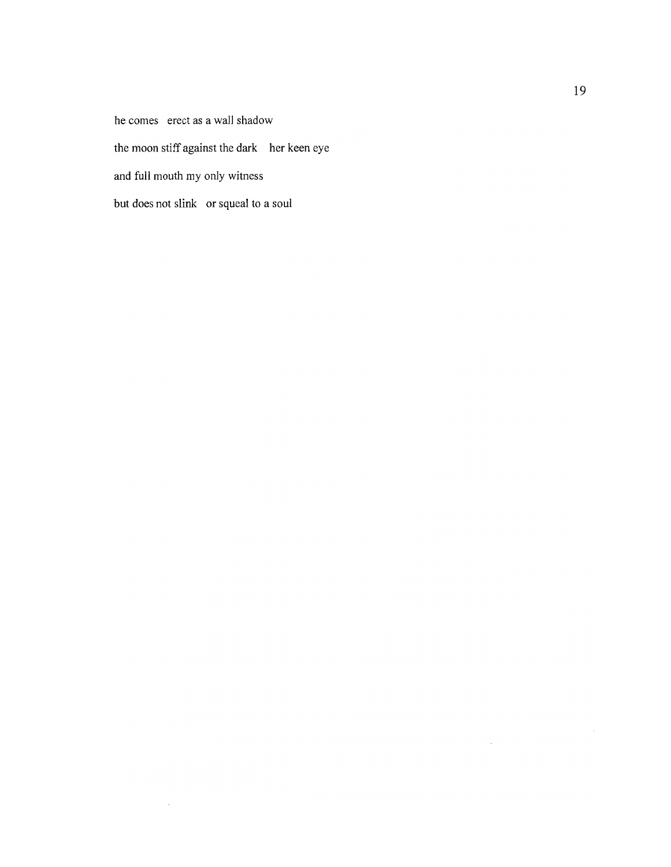he comes erect as a wall shadow the moon stiff against the dark her keen eye and full mouth my only witness but does not slink or squeal to a soul

 $\mathcal{L}^{(1)}$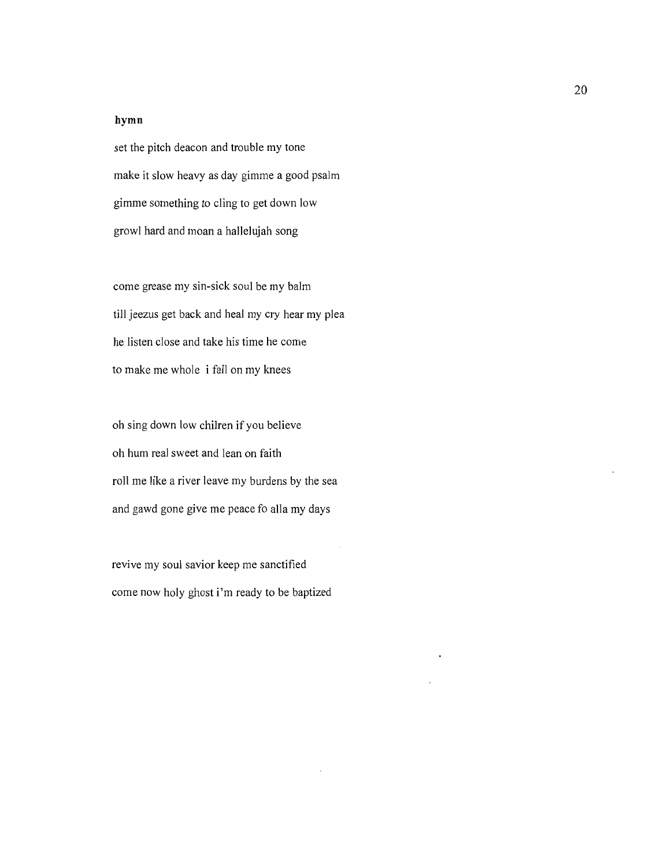### **hymn**

set the pitch deacon and trouble my tone make it slow heavy as day gimme a good psalm gimme something to cling to get down low growl hard and moan a hallelujah song

come grease my sin-sick soul be my balm till jeezus get back and heal my cry hear my plea he listen close and take his time he come to make me whole i fall on my knees

oh sing down low chilren if you believe oh hum real sweet and lean on faith roll me like a river leave my burdens by the sea and gawd gone give me peace fo alla my days

revive my soul savior keep me sanctified come now holy ghost i'm ready to be baptized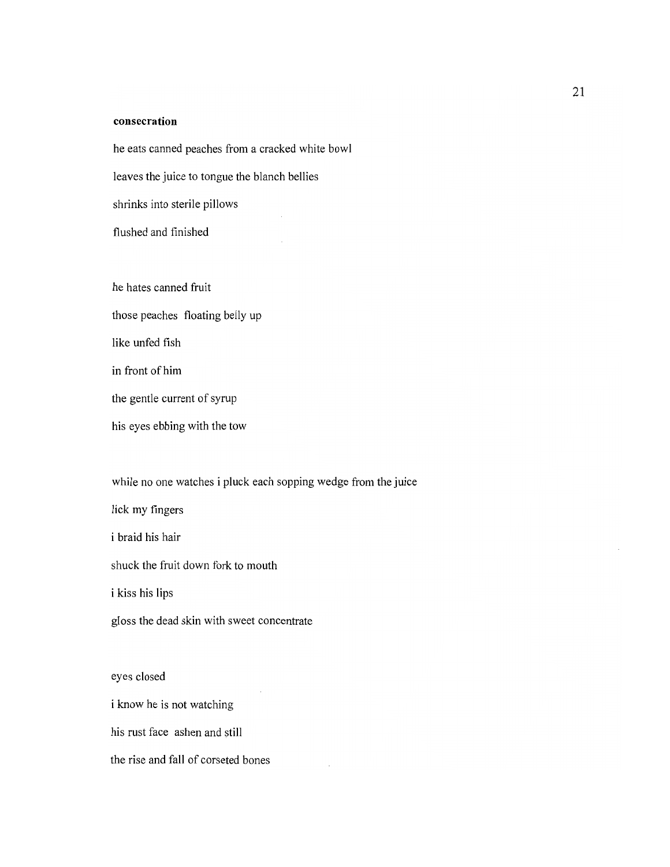## **consecration**

he eats canned peaches from a cracked white bowl leaves the juice to tongue the blanch bellies shrinks into sterile pillows flushed and finished

he hates canned fruit those peaches floating belly up like unfed fish in front of him the gentle current of syrup his eyes ebbing with the tow

while no one watches i pluck each sopping wedge from the juice

lick my fingers

i braid his hair

shuck the fruit down fork to mouth

i kiss his lips

gloss the dead skin with sweet concentrate

eyes closed i know he is not watching his rust face ashen and still the rise and fall of corseted bones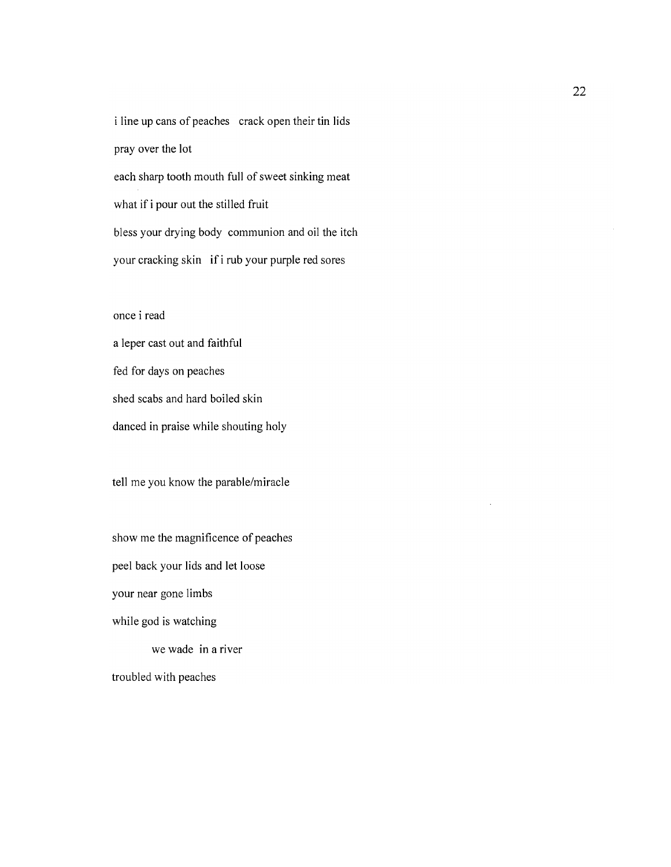i line up cans of peaches crack open their tin lids pray over the lot each sharp tooth mouth full of sweet sinking meat what if i pour out the stilled fruit bless your drying body communion and oil the itch your cracking skin if i rub your purple red sores

## once i read

a leper cast out and faithful fed for days on peaches shed scabs and hard boiled skin danced in praise while shouting holy

tell me you know the parable/miracle

show me the magnificence of peaches peel back your lids and let loose your near gone limbs while god is watching we wade in a river troubled with peaches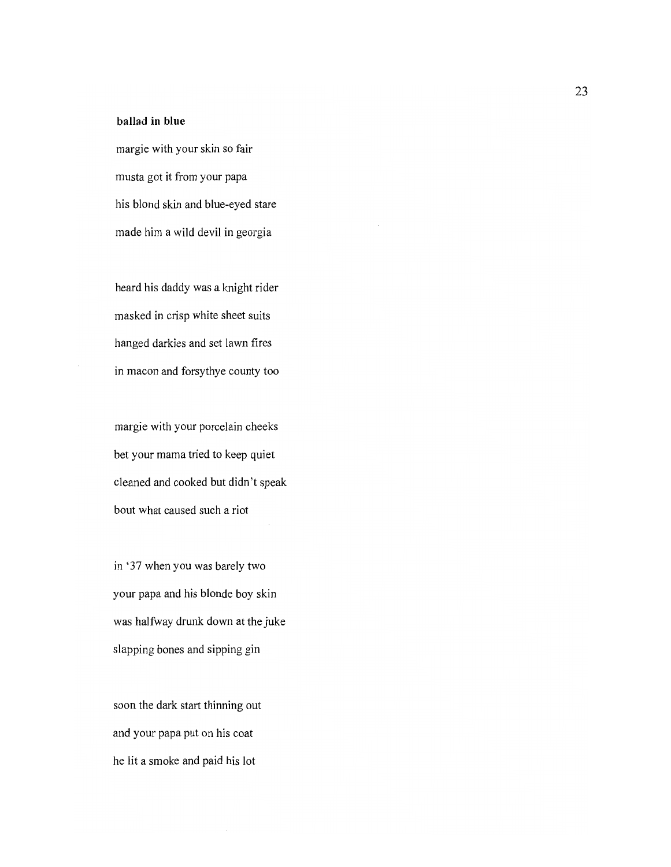# **ballad in blue**

margie with your skin so fair musta got it from your papa his blond skin and blue-eyed stare made him a wild devil in georgia

heard his daddy was a knight rider masked in crisp white sheet suits hanged darkies and set lawn fires in macon and forsythye county too

margie with your porcelain cheeks bet your mama tried to keep quiet cleaned and cooked but didn't speak bout what caused such a riot

in '37 when you was barely two your papa and his blonde boy skin was halfway drunk down at the juke slapping bones and sipping gin

soon the dark start thinning out and your papa put on his coat he lit a smoke and paid his lot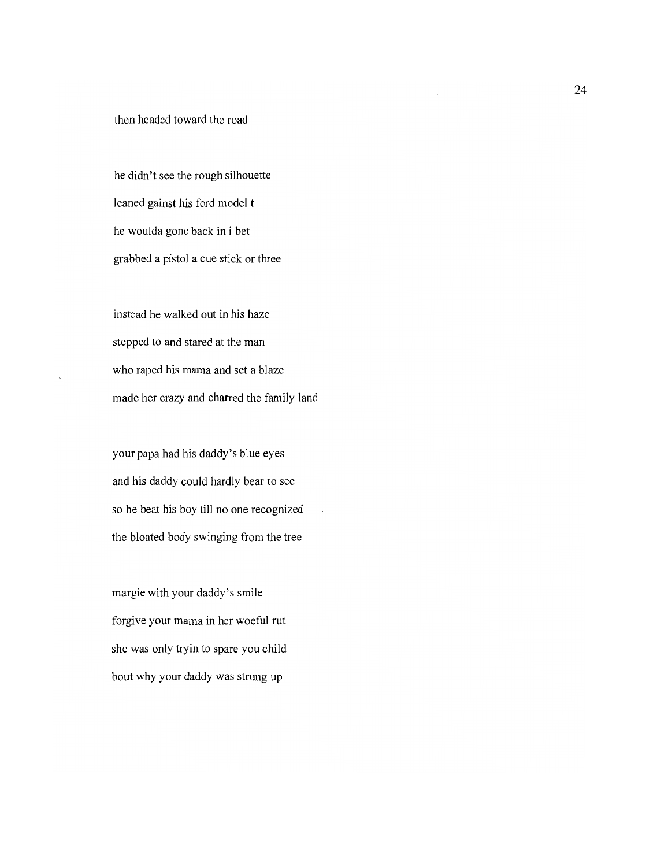then headed toward the road

he didn't see the rough silhouette leaned gainst his ford model t he woulda gone back in i bet grabbed a pistol a cue stick or three

instead he walked out in his haze stepped to and stared at the man who raped his mama and set a blaze made her crazy and charred the family land

your papa had his daddy's blue eyes and his daddy could hardly bear to see so he beat his boy till no one recognized the bloated body swinging from the tree

margie with your daddy's smile forgive your mama in her woeful rut she was only tryin to spare you child bout why your daddy was strung up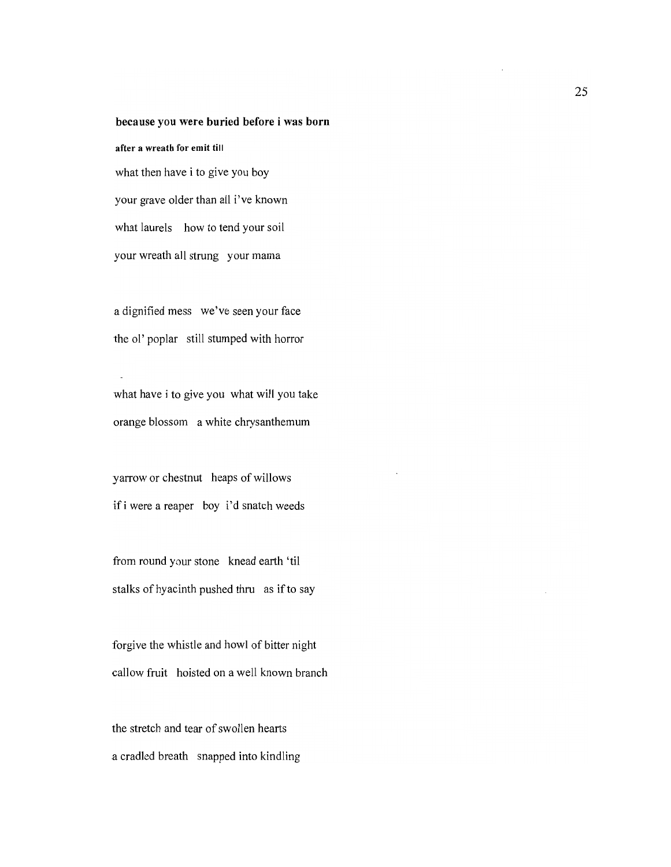## because you were buried before i was born

after a wreath for emit till what then have i to give you boy your grave older than all i've known what laurels how to tend your soil your wreath all strung your mama

a dignified mess we've seen your face the 01' poplar still stumped with horror

what have i to give you what will you take orange blossom a white chrysanthemum

yarrow or chestnut heaps of willows ifi were a reaper boy i'd snatch weeds

from round your stone knead earth 'til stalks of hyacinth pushed thru as if to say

forgive the whistle and howl of bitter night callow fruit hoisted on a well known branch

the stretch and tear of swollen hearts a cradled breath snapped into kindling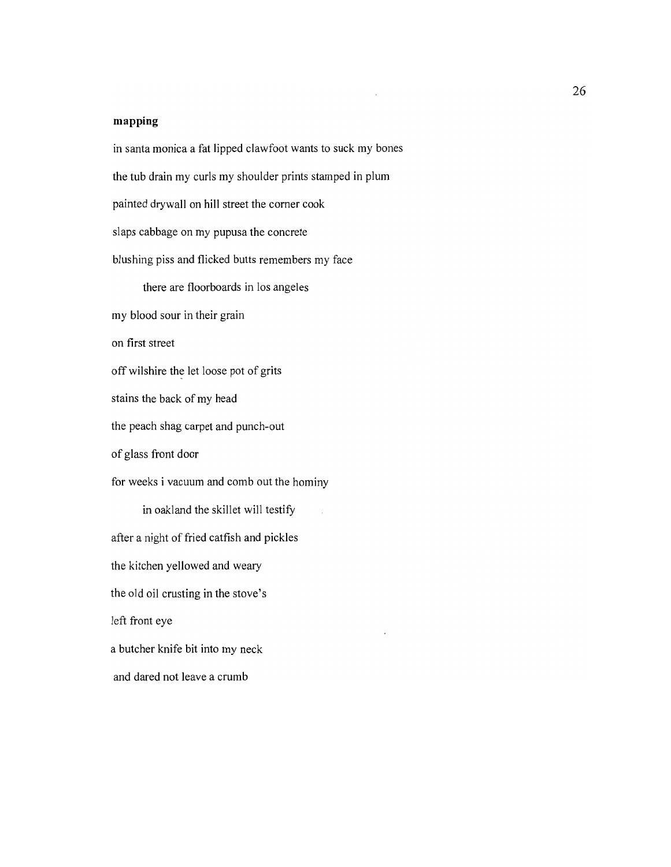## **mapping**

in santa monica a fat lipped clawfoot wants to suck my bones the tub drain my curls my shoulder prints stamped in plum painted drywall on hill street the comer cook slaps cabbage on my pupusa the concrete blushing piss and flicked butts remembers my face there are floorboards in los angeles my blood sour in their grain on first street off wilshire the let loose pot of grits stains the back of my head the peach shag carpet and punch-out of glass front door for weeks i vacuum and comb out the hominy in oakland the skillet will testify after a night of fried catfish and pickles the kitchen yellowed and weary the old oil crusting in the stove's left front eye a butcher knife bit into my neck and dared not leave a crumb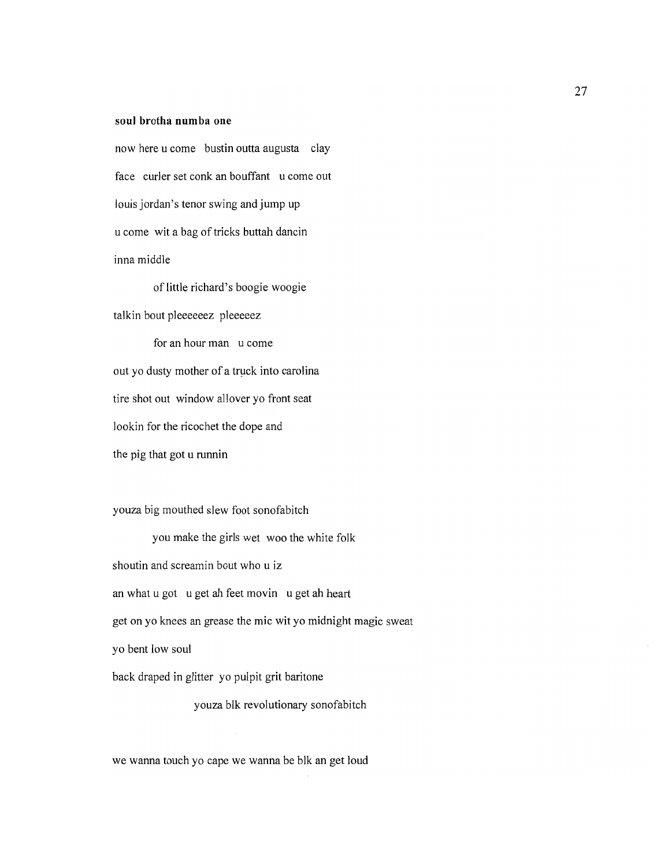### **soul brotha numba one**

now here u come bustin outta augusta clay face curler set conk an bouffant u come out louis jordan's tenor swing and jump up u come wit a bag of tricks buttah dancin inna middle

of little richard's boogie woogie

talkin bout pleeeeeez pleeeeez

for an hour man u come out yo dusty mother of a truck into carolina tire shot out window allover yo front seat lookin for the ricochet the dope and the pig that got u runnin

youza big mouthed slew foot sonofabitch

you make the girls wet woo the white folk shoutin and screamin bout who u iz an what u got u get ah feet movin u get ah heart get on yo knees an grease the mic wit yo midnight magic sweat yo bent low soul back draped **in** glitter yo pulpit grit baritone

youza blk revolutionary sonofabitch

we wanna touch yo cape we wanna be blk an get loud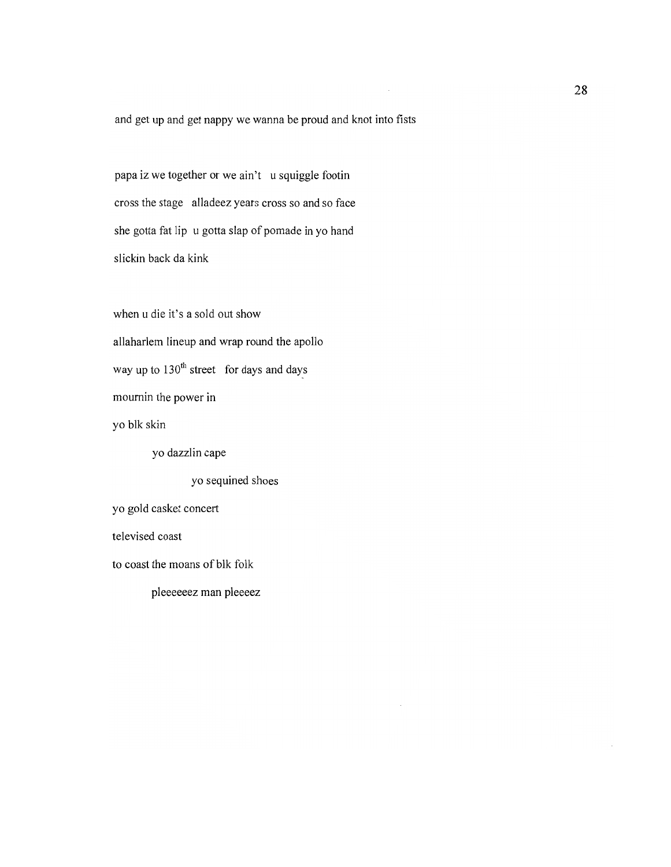and get up and get nappy we wanna be proud and knot into fists

papa iz we together or we ain't u squiggle footin cross the stage alladeez years cross so and so face she gotta fat lip u gotta slap of pomade in yo hand slickin back da kink

when u die it's a sold out show allaharlem lineup and wrap round the apollo way up to  $130^{th}$  street for days and days mournin the power in yo blk skin yo dazzlin cape yo sequined shoes yo gold casket concert televised coast to coast the moans of blk folk

pleeeeeez man pleeeez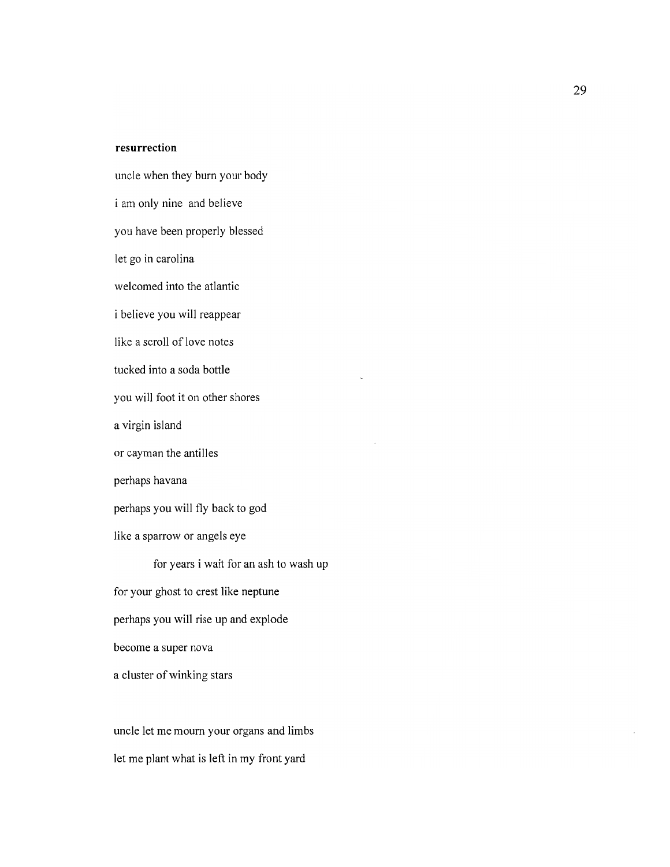### **resurrection**

uncle when they burn your body i am only nine and believe you have been properly blessed let go in carolina welcomed into the atlantic i believe you will reappear like a scroll of love notes tucked into a soda bottle you will foot it on other shores a virgin island or cayman the antilles perhaps havana perhaps you will fly back to god like a sparrow or angels eye for years i wait for an ash to wash up for your ghost to crest like neptune perhaps you will rise up and explode

become a super nova

a cluster of winking stars

uncle let me mourn your organs and limbs let me plant what is left in my front yard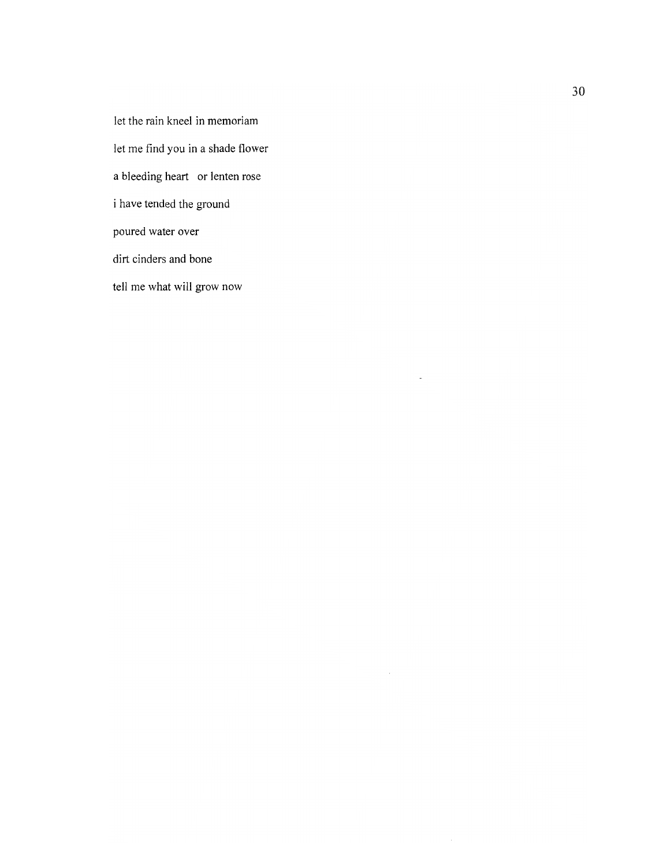let the rain kneel in memoriam

let me find you in a shade flower

a bleeding heart or lenten rose

i have tended the ground

poured water over

dirt cinders and bone

tell me what will grow now